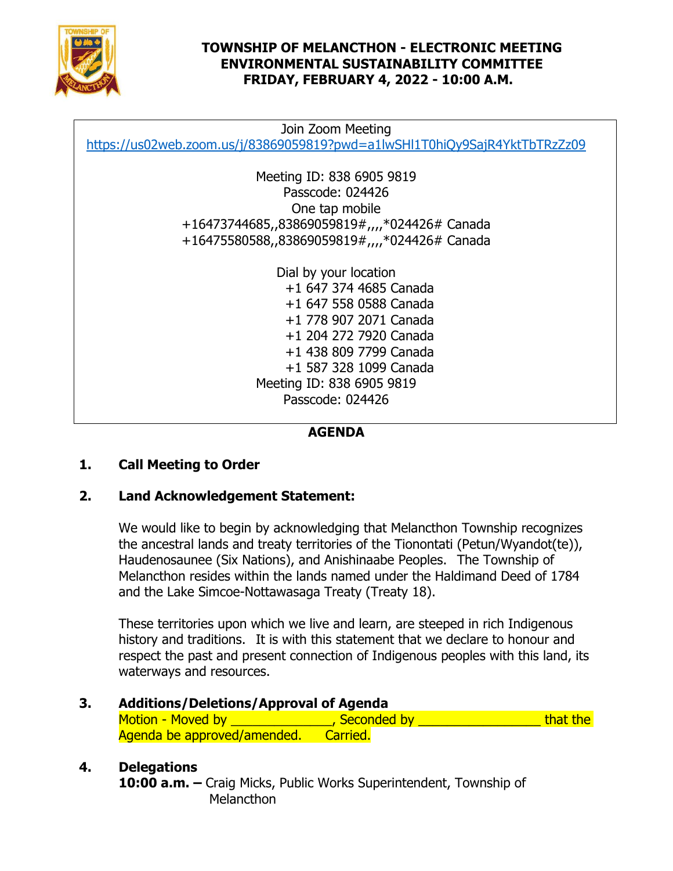

### **TOWNSHIP OF MELANCTHON - ELECTRONIC MEETING ENVIRONMENTAL SUSTAINABILITY COMMITTEE FRIDAY, FEBRUARY 4, 2022 - 10:00 A.M.**

Join Zoom Meeting <https://us02web.zoom.us/j/83869059819?pwd=a1lwSHl1T0hiQy9SajR4YktTbTRzZz09>

> Meeting ID: 838 6905 9819 Passcode: 024426 One tap mobile +16473744685,,83869059819#,,,,\*024426# Canada +16475580588,,83869059819#,,,,\*024426# Canada

> > Dial by your location +1 647 374 4685 Canada +1 647 558 0588 Canada +1 778 907 2071 Canada +1 204 272 7920 Canada +1 438 809 7799 Canada +1 587 328 1099 Canada Meeting ID: 838 6905 9819 Passcode: 024426

# **AGENDA**

# **1. Call Meeting to Order**

### **2. Land Acknowledgement Statement:**

We would like to begin by acknowledging that Melancthon Township recognizes the ancestral lands and treaty territories of the Tionontati (Petun/Wyandot(te)), Haudenosaunee (Six Nations), and Anishinaabe Peoples. The Township of Melancthon resides within the lands named under the Haldimand Deed of 1784 and the Lake Simcoe-Nottawasaga Treaty (Treaty 18).

These territories upon which we live and learn, are steeped in rich Indigenous history and traditions. It is with this statement that we declare to honour and respect the past and present connection of Indigenous peoples with this land, its waterways and resources.

**3. Additions/Deletions/Approval of Agenda** Motion - Moved by **Example 20** and the seconded by **Example 20 and the seconded by that the** Agenda be approved/amended. Carried.

### **4. Delegations**

**10:00 a.m. –** Craig Micks, Public Works Superintendent, Township of Melancthon